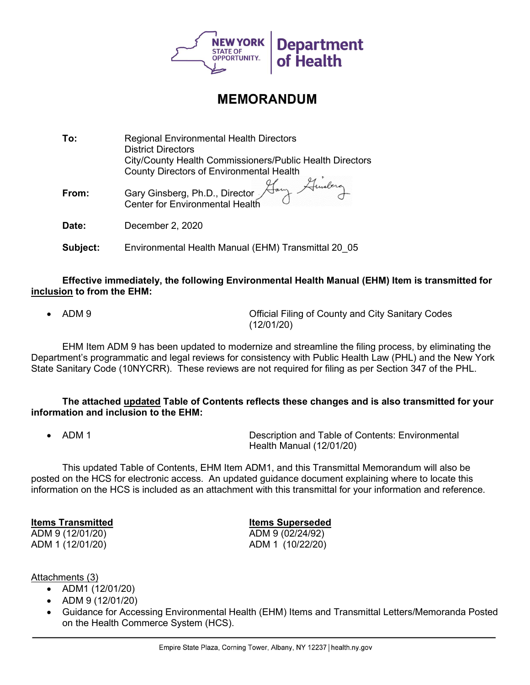

## **MEMORANDUM**

| To:      | <b>Regional Environmental Health Directors</b><br><b>District Directors</b><br>City/County Health Commissioners/Public Health Directors |
|----------|-----------------------------------------------------------------------------------------------------------------------------------------|
|          | County Directors of Environmental Health                                                                                                |
| From:    | Gary Ginsberg, Ph.D., Director Aam<br>Center for Environmental Health                                                                   |
| Date:    | December 2, 2020                                                                                                                        |
| Subject: | Environmental Health Manual (EHM) Transmittal 20 05                                                                                     |

Effective immediately, the following Environmental Health Manual (EHM) Item is transmitted for inclusion to from the EHM:

ADM 9 **ADM 9** Official Filing of County and City Sanitary Codes

(12/01/20)

EHM Item ADM 9 has been updated to modernize and streamline the filing process, by eliminating the Department's programmatic and legal reviews for consistency with Public Health Law (PHL) and the New York State Sanitary Code (10NYCRR). These reviews are not required for filing as per Section 347 of the PHL.

The attached updated Table of Contents reflects these changes and is also transmitted for your information and inclusion to the EHM:

• ADM 1 **Description and Table of Contents: Environmental** Health Manual (12/01/20)

This updated Table of Contents, EHM Item ADM1, and this Transmittal Memorandum will also be posted on the HCS for electronic access. An updated guidance document explaining where to locate this information on the HCS is included as an attachment with this transmittal for your information and reference.

Items Transmitted **Items** Superseded ADM 9 (12/01/20) ADM 9 (02/24/92) ADM 1 (12/01/20) ADM 1 (10/22/20)

Attachments (3)

- ADM1 (12/01/20)
- ADM 9 (12/01/20)
- Guidance for Accessing Environmental Health (EHM) Items and Transmittal Letters/Memoranda Posted on the Health Commerce System (HCS).